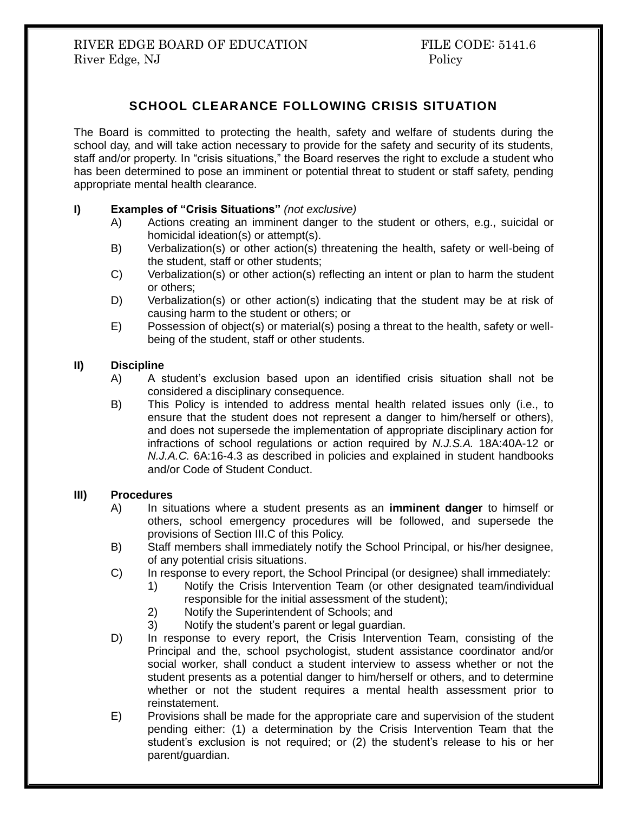# **SCHOOL CLEARANCE FOLLOWING CRISIS SITUATION**

The Board is committed to protecting the health, safety and welfare of students during the school day, and will take action necessary to provide for the safety and security of its students, staff and/or property. In "crisis situations," the Board reserves the right to exclude a student who has been determined to pose an imminent or potential threat to student or staff safety, pending appropriate mental health clearance.

## **I) Examples of "Crisis Situations"** *(not exclusive)*

- A) Actions creating an imminent danger to the student or others, e.g., suicidal or homicidal ideation(s) or attempt(s).
- B) Verbalization(s) or other action(s) threatening the health, safety or well-being of the student, staff or other students;
- C) Verbalization(s) or other action(s) reflecting an intent or plan to harm the student or others;
- D) Verbalization(s) or other action(s) indicating that the student may be at risk of causing harm to the student or others; or
- E) Possession of object(s) or material(s) posing a threat to the health, safety or wellbeing of the student, staff or other students.

### **II) Discipline**

- A) A student's exclusion based upon an identified crisis situation shall not be considered a disciplinary consequence.
- B) This Policy is intended to address mental health related issues only (i.e., to ensure that the student does not represent a danger to him/herself or others), and does not supersede the implementation of appropriate disciplinary action for infractions of school regulations or action required by *N.J.S.A.* 18A:40A-12 or *N.J.A.C.* 6A:16-4.3 as described in policies and explained in student handbooks and/or Code of Student Conduct.

### **III) Procedures**

- A) In situations where a student presents as an **imminent danger** to himself or others, school emergency procedures will be followed, and supersede the provisions of Section III.C of this Policy.
- B) Staff members shall immediately notify the School Principal, or his/her designee, of any potential crisis situations.
- C) In response to every report, the School Principal (or designee) shall immediately:
	- 1) Notify the Crisis Intervention Team (or other designated team/individual responsible for the initial assessment of the student);
	- 2) Notify the Superintendent of Schools; and
	- 3) Notify the student's parent or legal guardian.
- D) In response to every report, the Crisis Intervention Team, consisting of the Principal and the, school psychologist, student assistance coordinator and/or social worker, shall conduct a student interview to assess whether or not the student presents as a potential danger to him/herself or others, and to determine whether or not the student requires a mental health assessment prior to reinstatement.
- E) Provisions shall be made for the appropriate care and supervision of the student pending either: (1) a determination by the Crisis Intervention Team that the student's exclusion is not required; or (2) the student's release to his or her parent/guardian.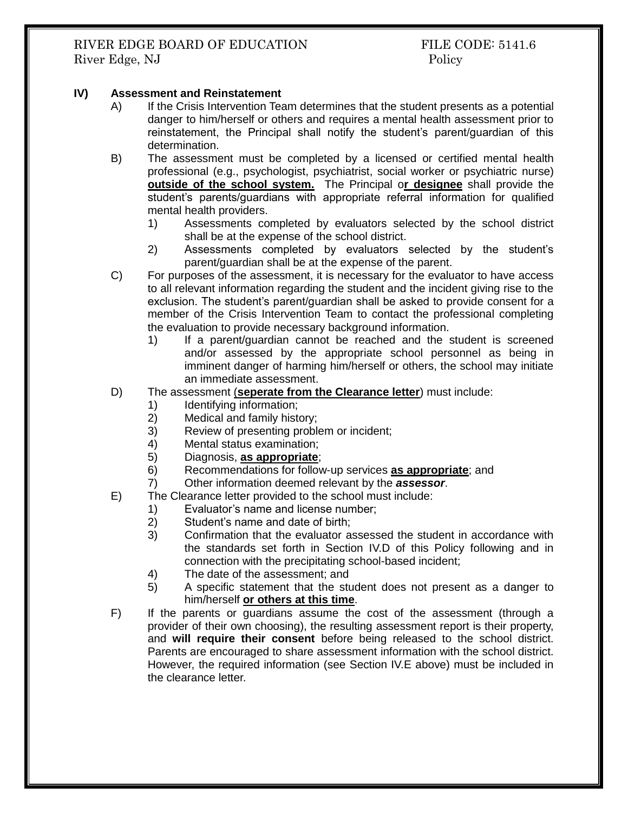RIVER EDGE BOARD OF EDUCATION FILE CODE: 5141.6 River Edge, NJ Policy

### **IV) Assessment and Reinstatement**

- A) If the Crisis Intervention Team determines that the student presents as a potential danger to him/herself or others and requires a mental health assessment prior to reinstatement, the Principal shall notify the student's parent/guardian of this determination.
- B) The assessment must be completed by a licensed or certified mental health professional (e.g., psychologist, psychiatrist, social worker or psychiatric nurse) **outside of the school system.** The Principal o**r designee** shall provide the student's parents/guardians with appropriate referral information for qualified mental health providers.
	- 1) Assessments completed by evaluators selected by the school district shall be at the expense of the school district.
	- 2) Assessments completed by evaluators selected by the student's parent/guardian shall be at the expense of the parent.
- C) For purposes of the assessment, it is necessary for the evaluator to have access to all relevant information regarding the student and the incident giving rise to the exclusion. The student's parent/guardian shall be asked to provide consent for a member of the Crisis Intervention Team to contact the professional completing the evaluation to provide necessary background information.
	- 1) If a parent/guardian cannot be reached and the student is screened and/or assessed by the appropriate school personnel as being in imminent danger of harming him/herself or others, the school may initiate an immediate assessment.
- D) The assessment (**seperate from the Clearance letter**) must include:
	- 1) Identifying information;
	- 2) Medical and family history;
	- 3) Review of presenting problem or incident;
	- 4) Mental status examination;
	- 5) Diagnosis, **as appropriate**;
	- 6) Recommendations for follow-up services **as appropriate**; and
	- 7) Other information deemed relevant by the *assessor*.
- E) The Clearance letter provided to the school must include:
	- 1) Evaluator's name and license number;
	- 2) Student's name and date of birth;
	- 3) Confirmation that the evaluator assessed the student in accordance with the standards set forth in Section IV.D of this Policy following and in connection with the precipitating school-based incident;
	- 4) The date of the assessment; and
	- 5) A specific statement that the student does not present as a danger to him/herself **or others at this time**.
- F) If the parents or guardians assume the cost of the assessment (through a provider of their own choosing), the resulting assessment report is their property, and **will require their consent** before being released to the school district. Parents are encouraged to share assessment information with the school district. However, the required information (see Section IV.E above) must be included in the clearance letter.